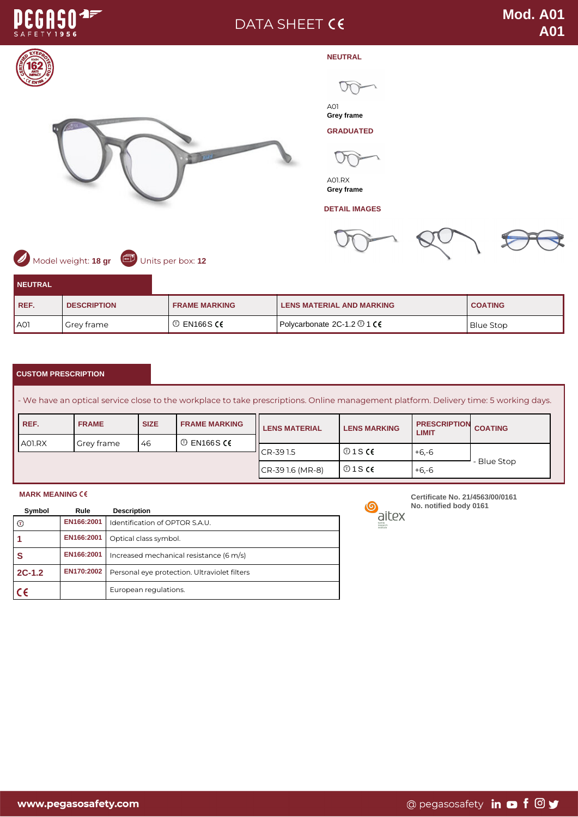

| REF.             | <b>DESCRIPTION</b> | <b>FRAME MARKING</b>     | <b>LENS MATERIAL AND MARKING</b>            | <b>COATING</b> |
|------------------|--------------------|--------------------------|---------------------------------------------|----------------|
| A <sub>O</sub> 1 | Grey frame         | $\circledcirc$ EN166S CE | Polycarbonate 2C-1.2 $\textcircled{1}$ 1 CC | Blue Stop      |

## **CUSTOM PRESCRIPTION**

- We have an optical service close to the workplace to take prescriptions. Online management platform. Delivery time: 5 working days.

| REF.          | <b>FRAME</b> | <b>SIZE</b> | <b>FRAME MARKING</b> | <b>LENS MATERIAL</b> | <b>LENS MARKING</b>    | <b>PRESCRIPTION</b><br><b>LIMIT</b> | <b>COATING</b> |
|---------------|--------------|-------------|----------------------|----------------------|------------------------|-------------------------------------|----------------|
| <b>A01.RX</b> | Grey frame   | 46          | $\circ$ EN166S CC    |                      |                        |                                     |                |
|               |              |             |                      | CR-39 1.5            | $\textcircled{1}$ S CE | $+6,-6$                             |                |
|               |              |             |                      | $ CR-391.6$ (MR-8)   | $\circ$ 1 S C E        | $+6,-6$                             | - Blue Stop    |

## **MARK MEANING**

| Symbol        | Rule       | <b>Description</b>                           |
|---------------|------------|----------------------------------------------|
| $\mathcal{F}$ | EN166:2001 | Identification of OPTOR S.A.U.               |
|               | EN166:2001 | Optical class symbol.                        |
|               | EN166:2001 | Increased mechanical resistance (6 m/s)      |
| $2C-1.2$      | EN170:2002 | Personal eye protection. Ultraviolet filters |
| $\epsilon$    |            | European regulations.                        |



**Certificate No. 21/4563/00/0161 No. notified body 0161**